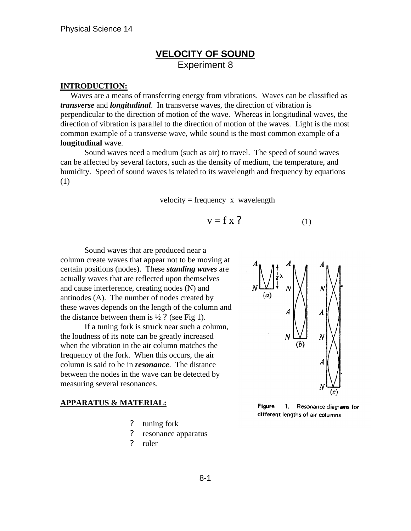## **VELOCITY OF SOUND** Experiment 8

#### **INTRODUCTION:**

 Waves are a means of transferring energy from vibrations. Waves can be classified as *transverse* and *longitudinal*. In transverse waves, the direction of vibration is perpendicular to the direction of motion of the wave. Whereas in longitudinal waves, the direction of vibration is parallel to the direction of motion of the waves. Light is the most common example of a transverse wave, while sound is the most common example of a **longitudinal** wave.

Sound waves need a medium (such as air) to travel. The speed of sound waves can be affected by several factors, such as the density of medium, the temperature, and humidity. Speed of sound waves is related to its wavelength and frequency by equations (1)

#### $velocity = frequency \times wavelength$

$$
v = f x ? \tag{1}
$$

Sound waves that are produced near a column create waves that appear not to be moving at certain positions (nodes). These *standing waves* are actually waves that are reflected upon themselves and cause interference, creating nodes (N) and antinodes (A). The number of nodes created by these waves depends on the length of the column and the distance between them is  $\frac{1}{2}$ ? (see Fig 1).

If a tuning fork is struck near such a column, the loudness of its note can be greatly increased when the vibration in the air column matches the frequency of the fork. When this occurs, the air column is said to be in *resonance*. The distance between the nodes in the wave can be detected by measuring several resonances.

#### **APPARATUS & MATERIAL:**

- ? tuning fork
- ? resonance apparatus
- ? ruler



**Figure** 1. Resonance diagrams for different lengths of air columns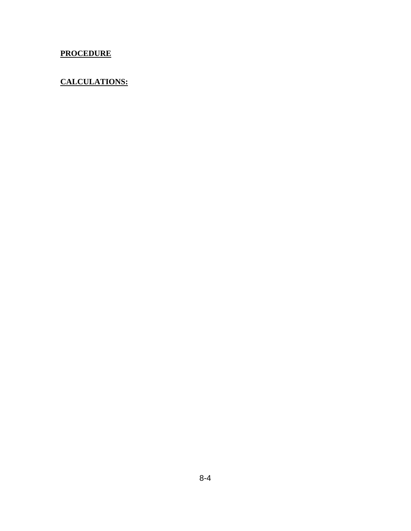## **PROCEDURE**

### **CALCULATIONS:**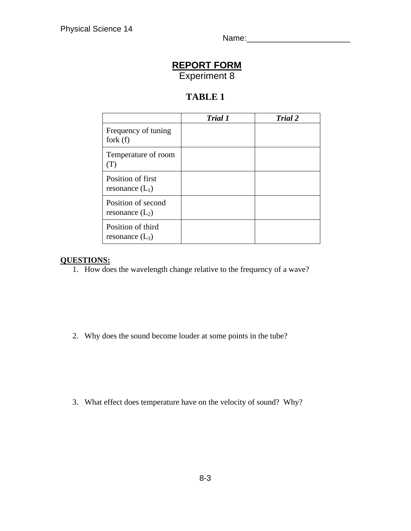Name: 2008. 2010. 2010. 2010. 2010. 2010. 2010. 2010. 2011. 2012. 2012. 2013. 2014. 2014. 2014. 2014. 2014. 20

# **REPORT FORM** Experiment 8

## **TABLE 1**

|                                         | Trial 1 | Trial 2 |
|-----------------------------------------|---------|---------|
| Frequency of tuning<br>fork $(f)$       |         |         |
| Temperature of room<br>(T)              |         |         |
| Position of first<br>resonance $(L_1)$  |         |         |
| Position of second<br>resonance $(L_2)$ |         |         |
| Position of third<br>resonance $(L_3)$  |         |         |

### **QUESTIONS:**

1. How does the wavelength change relative to the frequency of a wave?

2. Why does the sound become louder at some points in the tube?

3. What effect does temperature have on the velocity of sound? Why?